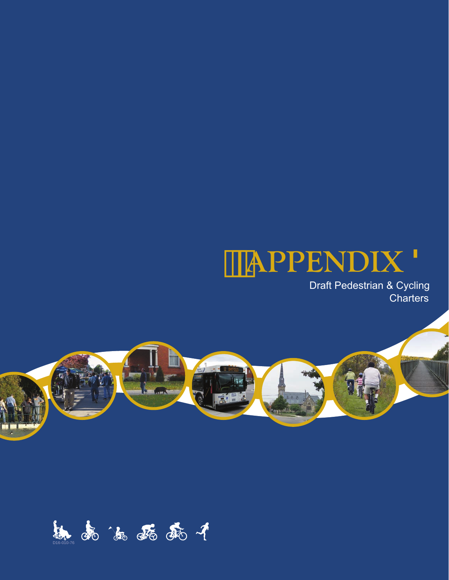

 Draft Pedestrian & Cycling **Charters** 



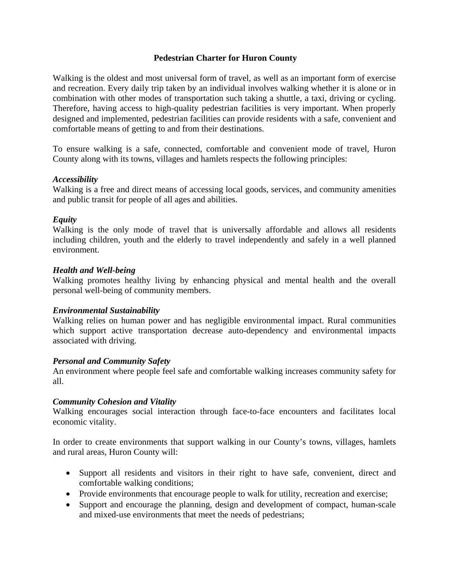# **Pedestrian Charter for Huron County**

Walking is the oldest and most universal form of travel, as well as an important form of exercise and recreation. Every daily trip taken by an individual involves walking whether it is alone or in combination with other modes of transportation such taking a shuttle, a taxi, driving or cycling. Therefore, having access to high-quality pedestrian facilities is very important. When properly designed and implemented, pedestrian facilities can provide residents with a safe, convenient and comfortable means of getting to and from their destinations.

To ensure walking is a safe, connected, comfortable and convenient mode of travel, Huron County along with its towns, villages and hamlets respects the following principles:

# *Accessibility*

Walking is a free and direct means of accessing local goods, services, and community amenities and public transit for people of all ages and abilities.

# *Equity*

Walking is the only mode of travel that is universally affordable and allows all residents including children, youth and the elderly to travel independently and safely in a well planned environment.

# *Health and Well-being*

Walking promotes healthy living by enhancing physical and mental health and the overall personal well-being of community members.

# *Environmental Sustainability*

Walking relies on human power and has negligible environmental impact. Rural communities which support active transportation decrease auto-dependency and environmental impacts associated with driving.

#### *Personal and Community Safety*

An environment where people feel safe and comfortable walking increases community safety for all.

# *Community Cohesion and Vitality*

Walking encourages social interaction through face-to-face encounters and facilitates local economic vitality.

In order to create environments that support walking in our County's towns, villages, hamlets and rural areas, Huron County will:

- Support all residents and visitors in their right to have safe, convenient, direct and comfortable walking conditions;
- Provide environments that encourage people to walk for utility, recreation and exercise;
- Support and encourage the planning, design and development of compact, human-scale and mixed-use environments that meet the needs of pedestrians;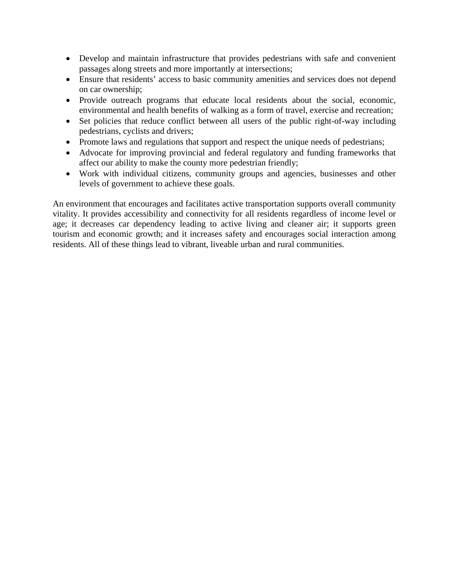- Develop and maintain infrastructure that provides pedestrians with safe and convenient passages along streets and more importantly at intersections;
- Ensure that residents' access to basic community amenities and services does not depend on car ownership;
- Provide outreach programs that educate local residents about the social, economic, environmental and health benefits of walking as a form of travel, exercise and recreation;
- Set policies that reduce conflict between all users of the public right-of-way including pedestrians, cyclists and drivers;
- Promote laws and regulations that support and respect the unique needs of pedestrians;
- Advocate for improving provincial and federal regulatory and funding frameworks that affect our ability to make the county more pedestrian friendly;
- Work with individual citizens, community groups and agencies, businesses and other levels of government to achieve these goals.

An environment that encourages and facilitates active transportation supports overall community vitality. It provides accessibility and connectivity for all residents regardless of income level or age; it decreases car dependency leading to active living and cleaner air; it supports green tourism and economic growth; and it increases safety and encourages social interaction among residents. All of these things lead to vibrant, liveable urban and rural communities.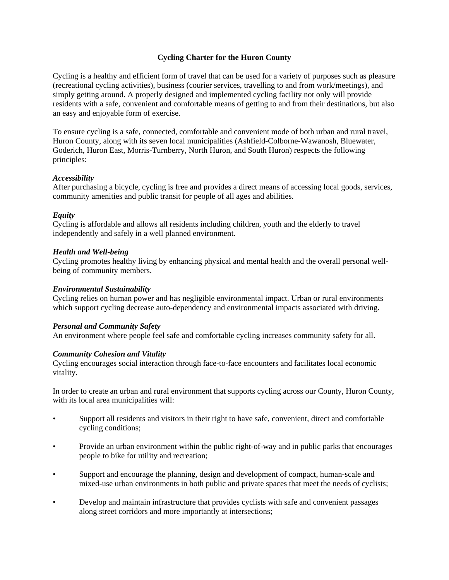# **Cycling Charter for the Huron County**

Cycling is a healthy and efficient form of travel that can be used for a variety of purposes such as pleasure (recreational cycling activities), business (courier services, travelling to and from work/meetings), and simply getting around. A properly designed and implemented cycling facility not only will provide residents with a safe, convenient and comfortable means of getting to and from their destinations, but also an easy and enjoyable form of exercise.

To ensure cycling is a safe, connected, comfortable and convenient mode of both urban and rural travel, Huron County, along with its seven local municipalities (Ashfield-Colborne-Wawanosh, Bluewater, Goderich, Huron East, Morris-Turnberry, North Huron, and South Huron) respects the following principles:

#### *Accessibility*

After purchasing a bicycle, cycling is free and provides a direct means of accessing local goods, services, community amenities and public transit for people of all ages and abilities.

# *Equity*

Cycling is affordable and allows all residents including children, youth and the elderly to travel independently and safely in a well planned environment.

# *Health and Well-being*

Cycling promotes healthy living by enhancing physical and mental health and the overall personal wellbeing of community members.

# *Environmental Sustainability*

Cycling relies on human power and has negligible environmental impact. Urban or rural environments which support cycling decrease auto-dependency and environmental impacts associated with driving.

#### *Personal and Community Safety*

An environment where people feel safe and comfortable cycling increases community safety for all.

#### *Community Cohesion and Vitality*

vitality. Cycling encourages social interaction through face-to-face encounters and facilitates local economic

In order to create an urban and rural environment that supports cycling across our County, Huron County, with its local area municipalities will:

- Support all residents and visitors in their right to have safe, convenient, direct and comfortable cycling conditions;
- Provide an urban environment within the public right-of-way and in public parks that encourages people to bike for utility and recreation;
- Support and encourage the planning, design and development of compact, human-scale and mixed-use urban environments in both public and private spaces that meet the needs of cyclists;
- Develop and maintain infrastructure that provides cyclists with safe and convenient passages along street corridors and more importantly at intersections;